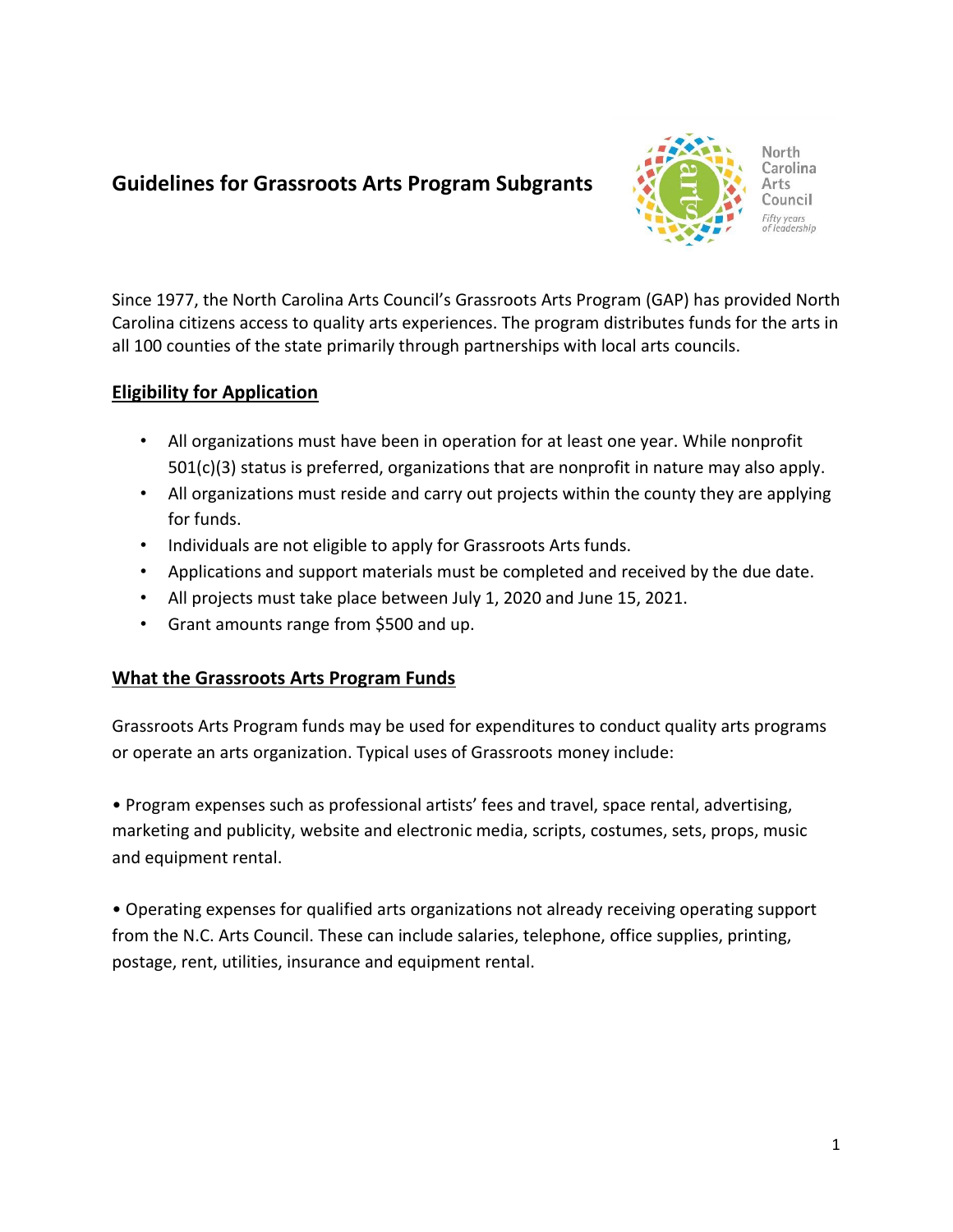# **Guidelines for Grassroots Arts Program Subgrants**



Since 1977, the North Carolina Arts Council's Grassroots Arts Program (GAP) has provided North Carolina citizens access to quality arts experiences. The program distributes funds for the arts in all 100 counties of the state primarily through partnerships with local arts councils.

## **Eligibility for Application**

- All organizations must have been in operation for at least one year. While nonprofit 501(c)(3) status is preferred, organizations that are nonprofit in nature may also apply.
- All organizations must reside and carry out projects within the county they are applying for funds.
- Individuals are not eligible to apply for Grassroots Arts funds.
- Applications and support materials must be completed and received by the due date.
- All projects must take place between July 1, 2020 and June 15, 2021.
- Grant amounts range from \$500 and up.

## **What the Grassroots Arts Program Funds**

Grassroots Arts Program funds may be used for expenditures to conduct quality arts programs or operate an arts organization. Typical uses of Grassroots money include:

• Program expenses such as professional artists' fees and travel, space rental, advertising, marketing and publicity, website and electronic media, scripts, costumes, sets, props, music and equipment rental.

• Operating expenses for qualified arts organizations not already receiving operating support from the N.C. Arts Council. These can include salaries, telephone, office supplies, printing, postage, rent, utilities, insurance and equipment rental.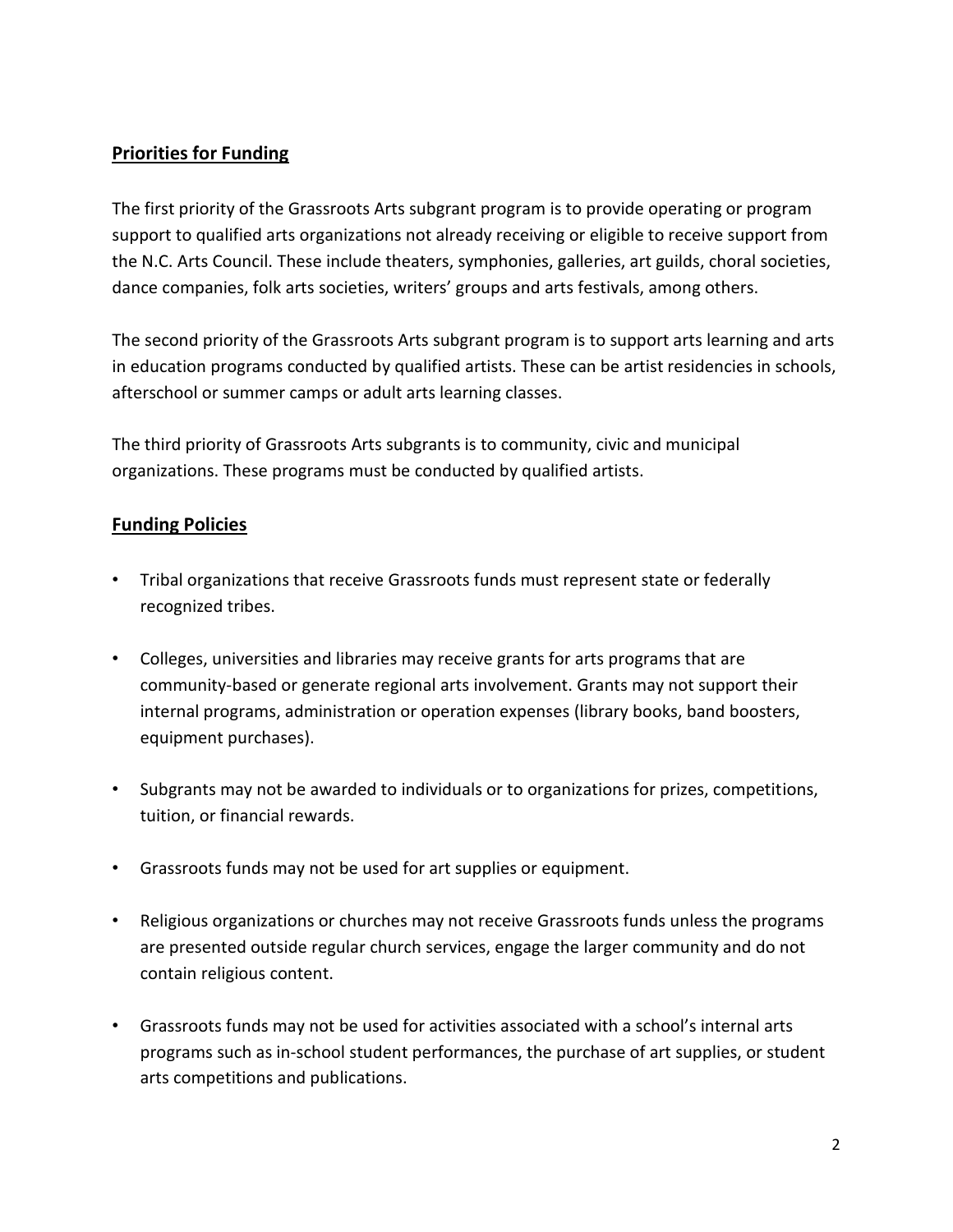## **Priorities for Funding**

The first priority of the Grassroots Arts subgrant program is to provide operating or program support to qualified arts organizations not already receiving or eligible to receive support from the N.C. Arts Council. These include theaters, symphonies, galleries, art guilds, choral societies, dance companies, folk arts societies, writers' groups and arts festivals, among others.

The second priority of the Grassroots Arts subgrant program is to support arts learning and arts in education programs conducted by qualified artists. These can be artist residencies in schools, afterschool or summer camps or adult arts learning classes.

The third priority of Grassroots Arts subgrants is to community, civic and municipal organizations. These programs must be conducted by qualified artists.

#### **Funding Policies**

- Tribal organizations that receive Grassroots funds must represent state or federally recognized tribes.
- Colleges, universities and libraries may receive grants for arts programs that are community-based or generate regional arts involvement. Grants may not support their internal programs, administration or operation expenses (library books, band boosters, equipment purchases).
- Subgrants may not be awarded to individuals or to organizations for prizes, competitions, tuition, or financial rewards.
- Grassroots funds may not be used for art supplies or equipment.
- Religious organizations or churches may not receive Grassroots funds unless the programs are presented outside regular church services, engage the larger community and do not contain religious content.
- Grassroots funds may not be used for activities associated with a school's internal arts programs such as in-school student performances, the purchase of art supplies, or student arts competitions and publications.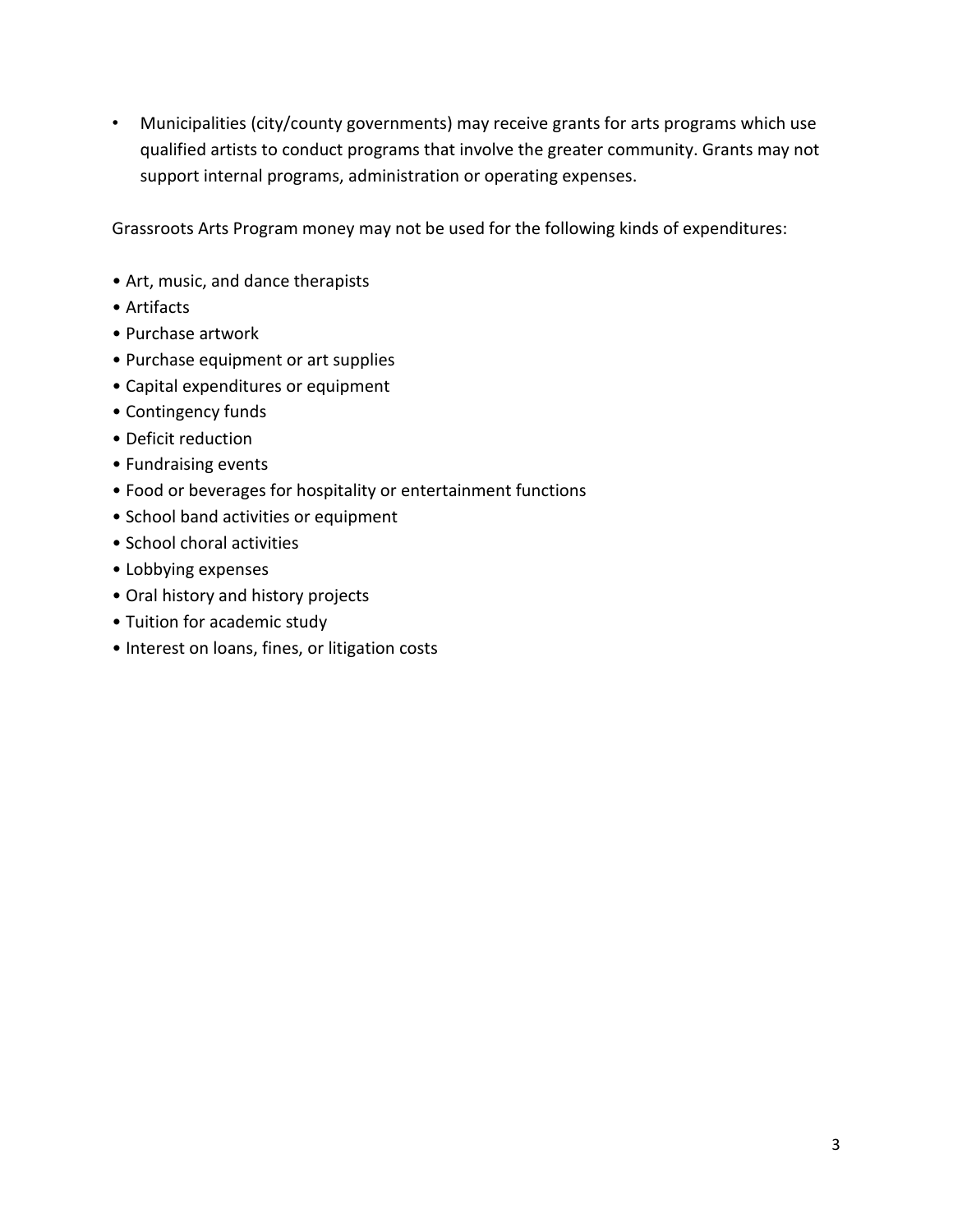• Municipalities (city/county governments) may receive grants for arts programs which use qualified artists to conduct programs that involve the greater community. Grants may not support internal programs, administration or operating expenses.

Grassroots Arts Program money may not be used for the following kinds of expenditures:

- Art, music, and dance therapists
- Artifacts
- Purchase artwork
- Purchase equipment or art supplies
- Capital expenditures or equipment
- Contingency funds
- Deficit reduction
- Fundraising events
- Food or beverages for hospitality or entertainment functions
- School band activities or equipment
- School choral activities
- Lobbying expenses
- Oral history and history projects
- Tuition for academic study
- Interest on loans, fines, or litigation costs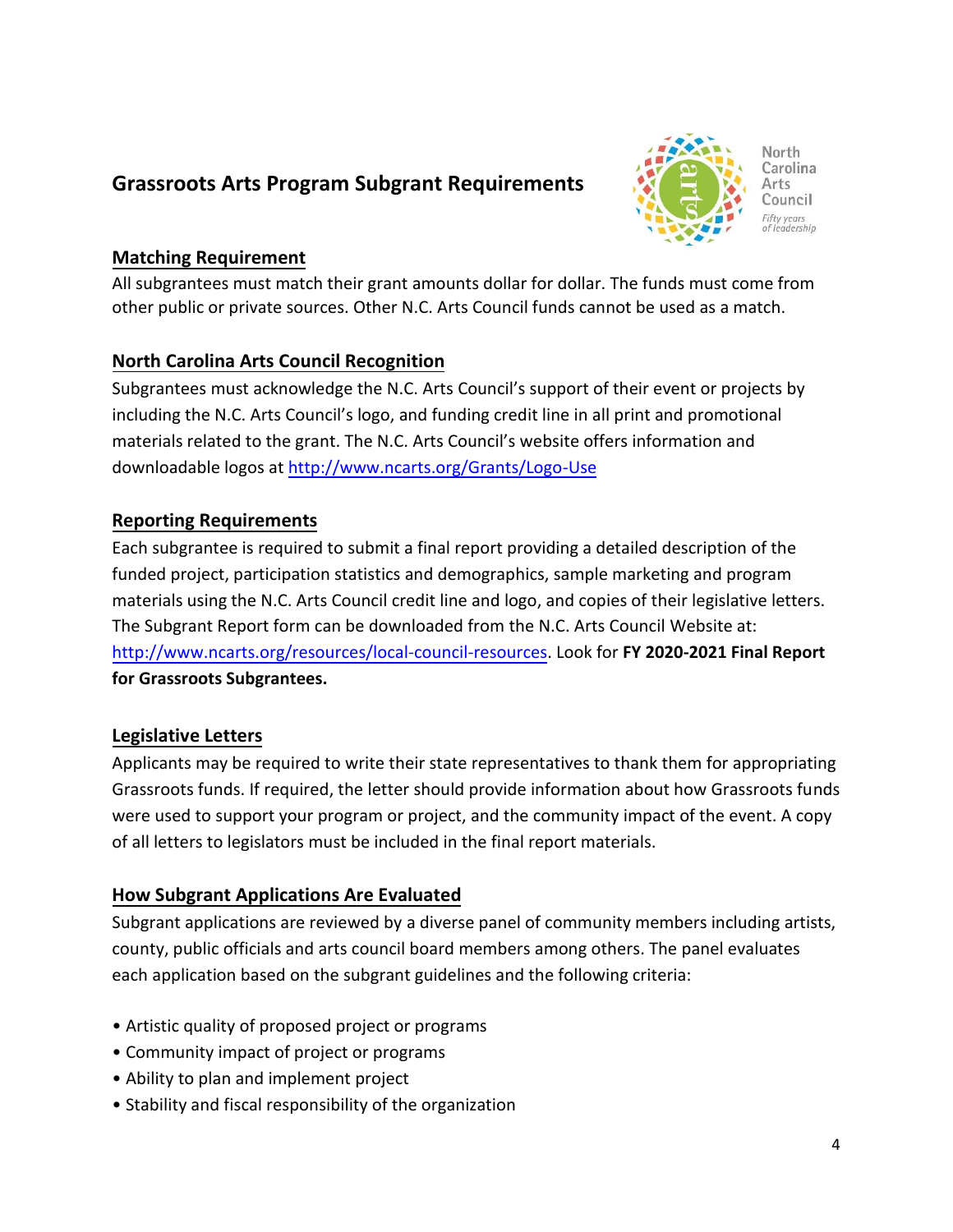## **Grassroots Arts Program Subgrant Requirements**



#### **Matching Requirement**

All subgrantees must match their grant amounts dollar for dollar. The funds must come from other public or private sources. Other N.C. Arts Council funds cannot be used as a match.

## **North Carolina Arts Council Recognition**

Subgrantees must acknowledge the N.C. Arts Council's support of their event or projects by including the N.C. Arts Council's logo, and funding credit line in all print and promotional materials related to the grant. The N.C. Arts Council's website offers information and downloadable logos at<http://www.ncarts.org/Grants/Logo-Use>

## **Reporting Requirements**

Each subgrantee is required to submit a final report providing a detailed description of the funded project, participation statistics and demographics, sample marketing and program materials using the N.C. Arts Council credit line and logo, and copies of their legislative letters. The Subgrant Report form can be downloaded from the N.C. Arts Council Website at: [http://www.ncarts.org/resources/local-council-resources.](http://www.ncarts.org/resources/local-council-resources) Look for **FY 2020-2021 Final Report for Grassroots Subgrantees.**

## **Legislative Letters**

Applicants may be required to write their state representatives to thank them for appropriating Grassroots funds. If required, the letter should provide information about how Grassroots funds were used to support your program or project, and the community impact of the event. A copy of all letters to legislators must be included in the final report materials.

## **How Subgrant Applications Are Evaluated**

Subgrant applications are reviewed by a diverse panel of community members including artists, county, public officials and arts council board members among others. The panel evaluates each application based on the subgrant guidelines and the following criteria:

- Artistic quality of proposed project or programs
- Community impact of project or programs
- Ability to plan and implement project
- Stability and fiscal responsibility of the organization